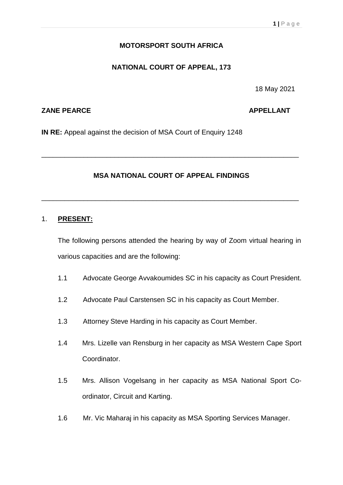# **MOTORSPORT SOUTH AFRICA**

## **NATIONAL COURT OF APPEAL, 173**

18 May 2021

## **ZANE PEARCE APPELLANT**

**IN RE:** Appeal against the decision of MSA Court of Enquiry 1248

# **MSA NATIONAL COURT OF APPEAL FINDINGS**

\_\_\_\_\_\_\_\_\_\_\_\_\_\_\_\_\_\_\_\_\_\_\_\_\_\_\_\_\_\_\_\_\_\_\_\_\_\_\_\_\_\_\_\_\_\_\_\_\_\_\_\_\_\_\_\_\_\_\_\_\_\_\_\_\_\_\_

\_\_\_\_\_\_\_\_\_\_\_\_\_\_\_\_\_\_\_\_\_\_\_\_\_\_\_\_\_\_\_\_\_\_\_\_\_\_\_\_\_\_\_\_\_\_\_\_\_\_\_\_\_\_\_\_\_\_\_\_\_\_\_\_\_\_\_

#### 1. **PRESENT:**

The following persons attended the hearing by way of Zoom virtual hearing in various capacities and are the following:

- 1.1 Advocate George Avvakoumides SC in his capacity as Court President.
- 1.2 Advocate Paul Carstensen SC in his capacity as Court Member.
- 1.3 Attorney Steve Harding in his capacity as Court Member.
- 1.4 Mrs. Lizelle van Rensburg in her capacity as MSA Western Cape Sport Coordinator.
- 1.5 Mrs. Allison Vogelsang in her capacity as MSA National Sport Coordinator, Circuit and Karting.
- 1.6 Mr. Vic Maharaj in his capacity as MSA Sporting Services Manager.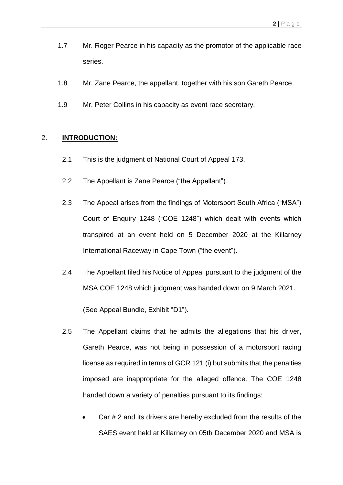- 1.7 Mr. Roger Pearce in his capacity as the promotor of the applicable race series.
- 1.8 Mr. Zane Pearce, the appellant, together with his son Gareth Pearce.
- 1.9 Mr. Peter Collins in his capacity as event race secretary.

#### 2. **INTRODUCTION:**

- 2.1 This is the judgment of National Court of Appeal 173.
- 2.2 The Appellant is Zane Pearce ("the Appellant").
- 2.3 The Appeal arises from the findings of Motorsport South Africa ("MSA") Court of Enquiry 1248 ("COE 1248") which dealt with events which transpired at an event held on 5 December 2020 at the Killarney International Raceway in Cape Town ("the event").
- 2.4 The Appellant filed his Notice of Appeal pursuant to the judgment of the MSA COE 1248 which judgment was handed down on 9 March 2021.

(See Appeal Bundle, Exhibit "D1").

- 2.5 The Appellant claims that he admits the allegations that his driver, Gareth Pearce, was not being in possession of a motorsport racing license as required in terms of GCR 121 (i) but submits that the penalties imposed are inappropriate for the alleged offence. The COE 1248 handed down a variety of penalties pursuant to its findings:
	- Car # 2 and its drivers are hereby excluded from the results of the SAES event held at Killarney on 05th December 2020 and MSA is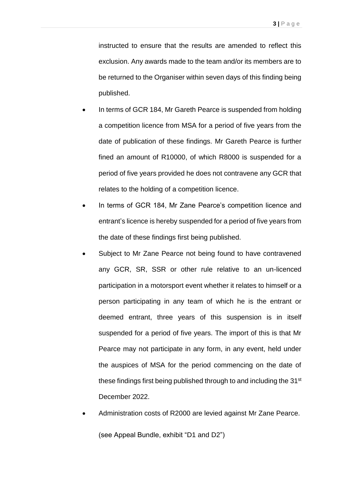instructed to ensure that the results are amended to reflect this exclusion. Any awards made to the team and/or its members are to be returned to the Organiser within seven days of this finding being published.

- In terms of GCR 184, Mr Gareth Pearce is suspended from holding a competition licence from MSA for a period of five years from the date of publication of these findings. Mr Gareth Pearce is further fined an amount of R10000, of which R8000 is suspended for a period of five years provided he does not contravene any GCR that relates to the holding of a competition licence.
- In terms of GCR 184, Mr Zane Pearce's competition licence and entrant's licence is hereby suspended for a period of five years from the date of these findings first being published.
- Subject to Mr Zane Pearce not being found to have contravened any GCR, SR, SSR or other rule relative to an un-licenced participation in a motorsport event whether it relates to himself or a person participating in any team of which he is the entrant or deemed entrant, three years of this suspension is in itself suspended for a period of five years. The import of this is that Mr Pearce may not participate in any form, in any event, held under the auspices of MSA for the period commencing on the date of these findings first being published through to and including the 31<sup>st</sup> December 2022.
- Administration costs of R2000 are levied against Mr Zane Pearce.

(see Appeal Bundle, exhibit "D1 and D2")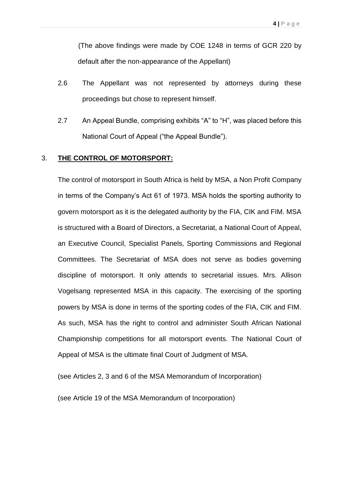(The above findings were made by COE 1248 in terms of GCR 220 by default after the non-appearance of the Appellant)

- 2.6 The Appellant was not represented by attorneys during these proceedings but chose to represent himself.
- 2.7 An Appeal Bundle, comprising exhibits "A" to "H", was placed before this National Court of Appeal ("the Appeal Bundle").

#### 3. **THE CONTROL OF MOTORSPORT:**

The control of motorsport in South Africa is held by MSA, a Non Profit Company in terms of the Company's Act 61 of 1973. MSA holds the sporting authority to govern motorsport as it is the delegated authority by the FIA, CIK and FIM. MSA is structured with a Board of Directors, a Secretariat, a National Court of Appeal, an Executive Council, Specialist Panels, Sporting Commissions and Regional Committees. The Secretariat of MSA does not serve as bodies governing discipline of motorsport. It only attends to secretarial issues. Mrs. Allison Vogelsang represented MSA in this capacity. The exercising of the sporting powers by MSA is done in terms of the sporting codes of the FIA, CIK and FIM. As such, MSA has the right to control and administer South African National Championship competitions for all motorsport events. The National Court of Appeal of MSA is the ultimate final Court of Judgment of MSA.

(see Articles 2, 3 and 6 of the MSA Memorandum of Incorporation)

(see Article 19 of the MSA Memorandum of Incorporation)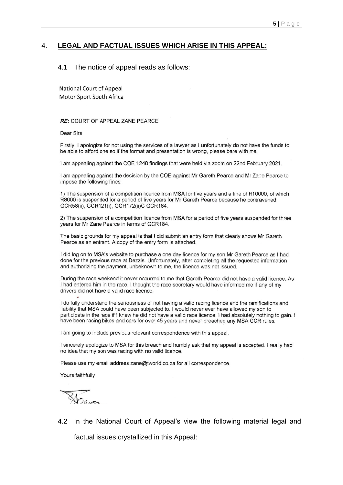#### 4. **LEGAL AND FACTUAL ISSUES WHICH ARISE IN THIS APPEAL:**

#### 4.1 The notice of appeal reads as follows:

**National Court of Appeal** Motor Sport South Africa

#### RE: COURT OF APPEAL ZANE PEARCE

**Dear Sirs** 

Firstly, I apologize for not using the services of a lawyer as I unfortunately do not have the funds to be able to afford one so if the format and presentation is wrong, please bare with me.

I am appealing against the COE 1248 findings that were held via zoom on 22nd February 2021.

I am appealing against the decision by the COE against Mr Gareth Pearce and Mr Zane Pearce to impose the following fines:

1) The suspension of a competition licence from MSA for five years and a fine of R10000, of which R8000 is suspended for a period of five years for Mr Gareth Pearce because he contravened GCR58(ii), GCR121(i), GCR172(ii)C GCR184.

2) The suspension of a competition licence from MSA for a period of five years suspended for three years for Mr Zane Pearce in terms of GCR184.

The basic grounds for my appeal is that I did submit an entry form that clearly shows Mr Gareth Pearce as an entrant. A copy of the entry form is attached.

I did log on to MSA's website to purchase a one day licence for my son Mr Gareth Pearce as I had done for the previous race at Dezzis. Unfortunately, after completing all the requested information and authorizing the payment, unbeknown to me, the licence was not issued.

During the race weekend it never occurred to me that Gareth Pearce did not have a valid licence. As I had entered him in the race. I thought the race secretary would have informed me if any of my drivers did not have a valid race licence.

I do fully understand the seriousness of not having a valid racing licence and the ramifications and liability that MSA could have been subjected to. I would never ever have allowed my son to participate in the race if I knew he did not have a valid race licence. I had absolutely nothing to gain. I have been racing bikes and cars for over 45 years and never breached any MSA GCR rules.

I am going to include previous relevant correspondence with this appeal.

I sincerely apologize to MSA for this breach and humbly ask that my appeal is accepted. I really had no idea that my son was racing with no valid licence.

Please use my email address zane@tworld.co.za for all correspondence.

Yours faithfully

Dave

4.2 In the National Court of Appeal's view the following material legal and

factual issues crystallized in this Appeal: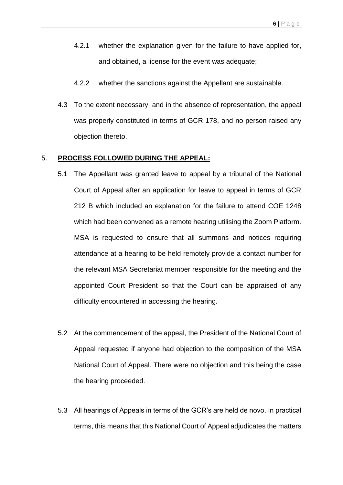- 4.2.1 whether the explanation given for the failure to have applied for, and obtained, a license for the event was adequate;
- 4.2.2 whether the sanctions against the Appellant are sustainable.
- 4.3 To the extent necessary, and in the absence of representation, the appeal was properly constituted in terms of GCR 178, and no person raised any objection thereto.

#### 5. **PROCESS FOLLOWED DURING THE APPEAL:**

- 5.1 The Appellant was granted leave to appeal by a tribunal of the National Court of Appeal after an application for leave to appeal in terms of GCR 212 B which included an explanation for the failure to attend COE 1248 which had been convened as a remote hearing utilising the Zoom Platform. MSA is requested to ensure that all summons and notices requiring attendance at a hearing to be held remotely provide a contact number for the relevant MSA Secretariat member responsible for the meeting and the appointed Court President so that the Court can be appraised of any difficulty encountered in accessing the hearing.
- 5.2 At the commencement of the appeal, the President of the National Court of Appeal requested if anyone had objection to the composition of the MSA National Court of Appeal. There were no objection and this being the case the hearing proceeded.
- 5.3 All hearings of Appeals in terms of the GCR's are held de novo. In practical terms, this means that this National Court of Appeal adjudicates the matters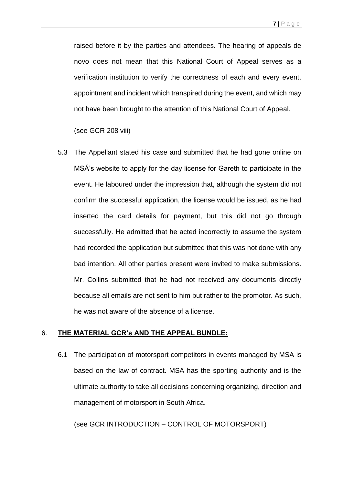raised before it by the parties and attendees. The hearing of appeals de novo does not mean that this National Court of Appeal serves as a verification institution to verify the correctness of each and every event, appointment and incident which transpired during the event, and which may not have been brought to the attention of this National Court of Appeal.

(see GCR 208 viii)

5.3 The Appellant stated his case and submitted that he had gone online on MSÁ's website to apply for the day license for Gareth to participate in the event. He laboured under the impression that, although the system did not confirm the successful application, the license would be issued, as he had inserted the card details for payment, but this did not go through successfully. He admitted that he acted incorrectly to assume the system had recorded the application but submitted that this was not done with any bad intention. All other parties present were invited to make submissions. Mr. Collins submitted that he had not received any documents directly because all emails are not sent to him but rather to the promotor. As such, he was not aware of the absence of a license.

## 6. **THE MATERIAL GCR's AND THE APPEAL BUNDLE:**

6.1 The participation of motorsport competitors in events managed by MSA is based on the law of contract. MSA has the sporting authority and is the ultimate authority to take all decisions concerning organizing, direction and management of motorsport in South Africa.

(see GCR INTRODUCTION – CONTROL OF MOTORSPORT)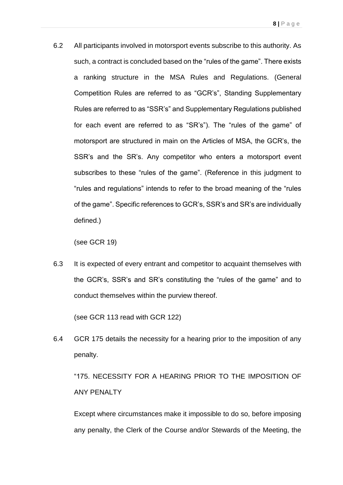6.2 All participants involved in motorsport events subscribe to this authority. As such, a contract is concluded based on the "rules of the game". There exists a ranking structure in the MSA Rules and Regulations. (General Competition Rules are referred to as "GCR's", Standing Supplementary Rules are referred to as "SSR's" and Supplementary Regulations published for each event are referred to as "SR's"). The "rules of the game" of motorsport are structured in main on the Articles of MSA, the GCR's, the SSR's and the SR's. Any competitor who enters a motorsport event subscribes to these "rules of the game". (Reference in this judgment to "rules and regulations" intends to refer to the broad meaning of the "rules of the game". Specific references to GCR's, SSR's and SR's are individually defined.)

(see GCR 19)

6.3 It is expected of every entrant and competitor to acquaint themselves with the GCR's, SSR's and SR's constituting the "rules of the game" and to conduct themselves within the purview thereof.

(see GCR 113 read with GCR 122)

6.4 GCR 175 details the necessity for a hearing prior to the imposition of any penalty.

"175. NECESSITY FOR A HEARING PRIOR TO THE IMPOSITION OF ANY PENALTY

Except where circumstances make it impossible to do so, before imposing any penalty, the Clerk of the Course and/or Stewards of the Meeting, the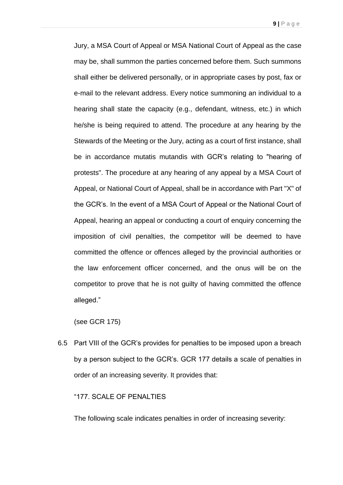Jury, a MSA Court of Appeal or MSA National Court of Appeal as the case may be, shall summon the parties concerned before them. Such summons shall either be delivered personally, or in appropriate cases by post, fax or e-mail to the relevant address. Every notice summoning an individual to a hearing shall state the capacity (e.g., defendant, witness, etc.) in which he/she is being required to attend. The procedure at any hearing by the Stewards of the Meeting or the Jury, acting as a court of first instance, shall be in accordance mutatis mutandis with GCR's relating to "hearing of protests". The procedure at any hearing of any appeal by a MSA Court of Appeal, or National Court of Appeal, shall be in accordance with Part "X" of the GCR's. In the event of a MSA Court of Appeal or the National Court of Appeal, hearing an appeal or conducting a court of enquiry concerning the imposition of civil penalties, the competitor will be deemed to have committed the offence or offences alleged by the provincial authorities or the law enforcement officer concerned, and the onus will be on the competitor to prove that he is not guilty of having committed the offence alleged."

(see GCR 175)

6.5 Part VIII of the GCR's provides for penalties to be imposed upon a breach by a person subject to the GCR's. GCR 177 details a scale of penalties in order of an increasing severity. It provides that:

#### "177. SCALE OF PENALTIES

The following scale indicates penalties in order of increasing severity: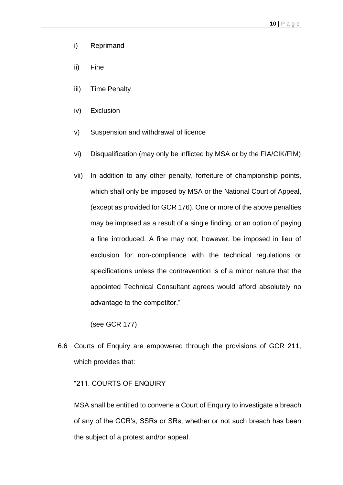- i) Reprimand
- ii) Fine
- iii) Time Penalty
- iv) Exclusion
- v) Suspension and withdrawal of licence
- vi) Disqualification (may only be inflicted by MSA or by the FIA/CIK/FIM)
- vii) In addition to any other penalty, forfeiture of championship points, which shall only be imposed by MSA or the National Court of Appeal, (except as provided for GCR 176). One or more of the above penalties may be imposed as a result of a single finding, or an option of paying a fine introduced. A fine may not, however, be imposed in lieu of exclusion for non-compliance with the technical regulations or specifications unless the contravention is of a minor nature that the appointed Technical Consultant agrees would afford absolutely no advantage to the competitor."

(see GCR 177)

6.6 Courts of Enquiry are empowered through the provisions of GCR 211, which provides that:

#### "211. COURTS OF ENQUIRY

MSA shall be entitled to convene a Court of Enquiry to investigate a breach of any of the GCR's, SSRs or SRs, whether or not such breach has been the subject of a protest and/or appeal.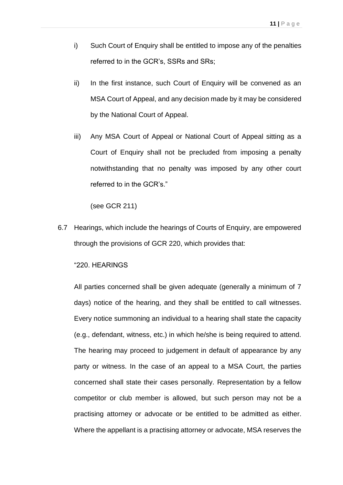- i) Such Court of Enquiry shall be entitled to impose any of the penalties referred to in the GCR's, SSRs and SRs;
- ii) In the first instance, such Court of Enquiry will be convened as an MSA Court of Appeal, and any decision made by it may be considered by the National Court of Appeal.
- iii) Any MSA Court of Appeal or National Court of Appeal sitting as a Court of Enquiry shall not be precluded from imposing a penalty notwithstanding that no penalty was imposed by any other court referred to in the GCR's."

(see GCR 211)

6.7 Hearings, which include the hearings of Courts of Enquiry, are empowered through the provisions of GCR 220, which provides that:

#### "220. HEARINGS

All parties concerned shall be given adequate (generally a minimum of 7 days) notice of the hearing, and they shall be entitled to call witnesses. Every notice summoning an individual to a hearing shall state the capacity (e.g., defendant, witness, etc.) in which he/she is being required to attend. The hearing may proceed to judgement in default of appearance by any party or witness. In the case of an appeal to a MSA Court, the parties concerned shall state their cases personally. Representation by a fellow competitor or club member is allowed, but such person may not be a practising attorney or advocate or be entitled to be admitted as either. Where the appellant is a practising attorney or advocate, MSA reserves the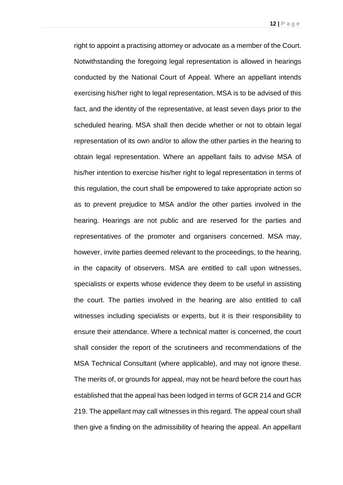right to appoint a practising attorney or advocate as a member of the Court. Notwithstanding the foregoing legal representation is allowed in hearings conducted by the National Court of Appeal. Where an appellant intends exercising his/her right to legal representation, MSA is to be advised of this fact, and the identity of the representative, at least seven days prior to the scheduled hearing. MSA shall then decide whether or not to obtain legal representation of its own and/or to allow the other parties in the hearing to obtain legal representation. Where an appellant fails to advise MSA of his/her intention to exercise his/her right to legal representation in terms of this regulation, the court shall be empowered to take appropriate action so as to prevent prejudice to MSA and/or the other parties involved in the hearing. Hearings are not public and are reserved for the parties and representatives of the promoter and organisers concerned. MSA may, however, invite parties deemed relevant to the proceedings, to the hearing, in the capacity of observers. MSA are entitled to call upon witnesses, specialists or experts whose evidence they deem to be useful in assisting the court. The parties involved in the hearing are also entitled to call witnesses including specialists or experts, but it is their responsibility to ensure their attendance. Where a technical matter is concerned, the court shall consider the report of the scrutineers and recommendations of the MSA Technical Consultant (where applicable), and may not ignore these. The merits of, or grounds for appeal, may not be heard before the court has established that the appeal has been lodged in terms of GCR 214 and GCR 219. The appellant may call witnesses in this regard. The appeal court shall then give a finding on the admissibility of hearing the appeal. An appellant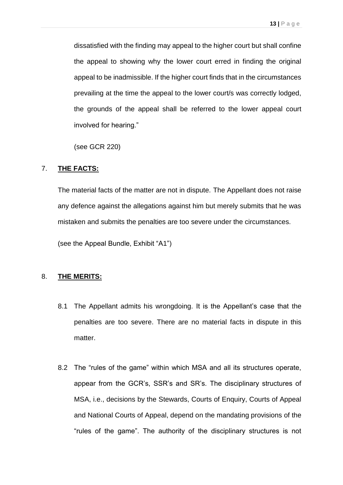dissatisfied with the finding may appeal to the higher court but shall confine the appeal to showing why the lower court erred in finding the original appeal to be inadmissible. If the higher court finds that in the circumstances prevailing at the time the appeal to the lower court/s was correctly lodged, the grounds of the appeal shall be referred to the lower appeal court involved for hearing."

(see GCR 220)

## 7. **THE FACTS:**

The material facts of the matter are not in dispute. The Appellant does not raise any defence against the allegations against him but merely submits that he was mistaken and submits the penalties are too severe under the circumstances.

(see the Appeal Bundle, Exhibit "A1")

# 8. **THE MERITS:**

- 8.1 The Appellant admits his wrongdoing. It is the Appellant's case that the penalties are too severe. There are no material facts in dispute in this matter.
- 8.2 The "rules of the game" within which MSA and all its structures operate, appear from the GCR's, SSR's and SR's. The disciplinary structures of MSA, i.e., decisions by the Stewards, Courts of Enquiry, Courts of Appeal and National Courts of Appeal, depend on the mandating provisions of the "rules of the game". The authority of the disciplinary structures is not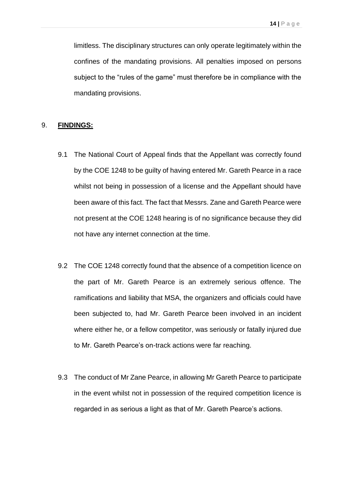limitless. The disciplinary structures can only operate legitimately within the confines of the mandating provisions. All penalties imposed on persons subject to the "rules of the game" must therefore be in compliance with the mandating provisions.

#### 9. **FINDINGS:**

- 9.1 The National Court of Appeal finds that the Appellant was correctly found by the COE 1248 to be guilty of having entered Mr. Gareth Pearce in a race whilst not being in possession of a license and the Appellant should have been aware of this fact. The fact that Messrs. Zane and Gareth Pearce were not present at the COE 1248 hearing is of no significance because they did not have any internet connection at the time.
- 9.2 The COE 1248 correctly found that the absence of a competition licence on the part of Mr. Gareth Pearce is an extremely serious offence. The ramifications and liability that MSA, the organizers and officials could have been subjected to, had Mr. Gareth Pearce been involved in an incident where either he, or a fellow competitor, was seriously or fatally injured due to Mr. Gareth Pearce's on-track actions were far reaching.
- 9.3 The conduct of Mr Zane Pearce, in allowing Mr Gareth Pearce to participate in the event whilst not in possession of the required competition licence is regarded in as serious a light as that of Mr. Gareth Pearce's actions.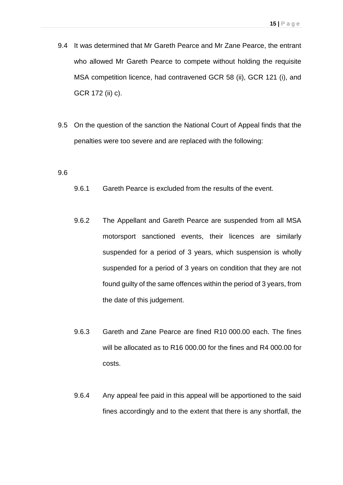- 9.4 It was determined that Mr Gareth Pearce and Mr Zane Pearce, the entrant who allowed Mr Gareth Pearce to compete without holding the requisite MSA competition licence, had contravened GCR 58 (ii), GCR 121 (i), and GCR 172 (ii) c).
- 9.5 On the question of the sanction the National Court of Appeal finds that the penalties were too severe and are replaced with the following:

#### 9.6

- 9.6.1 Gareth Pearce is excluded from the results of the event.
- 9.6.2 The Appellant and Gareth Pearce are suspended from all MSA motorsport sanctioned events, their licences are similarly suspended for a period of 3 years, which suspension is wholly suspended for a period of 3 years on condition that they are not found guilty of the same offences within the period of 3 years, from the date of this judgement.
- 9.6.3 Gareth and Zane Pearce are fined R10 000.00 each. The fines will be allocated as to R16 000.00 for the fines and R4 000.00 for costs.
- 9.6.4 Any appeal fee paid in this appeal will be apportioned to the said fines accordingly and to the extent that there is any shortfall, the